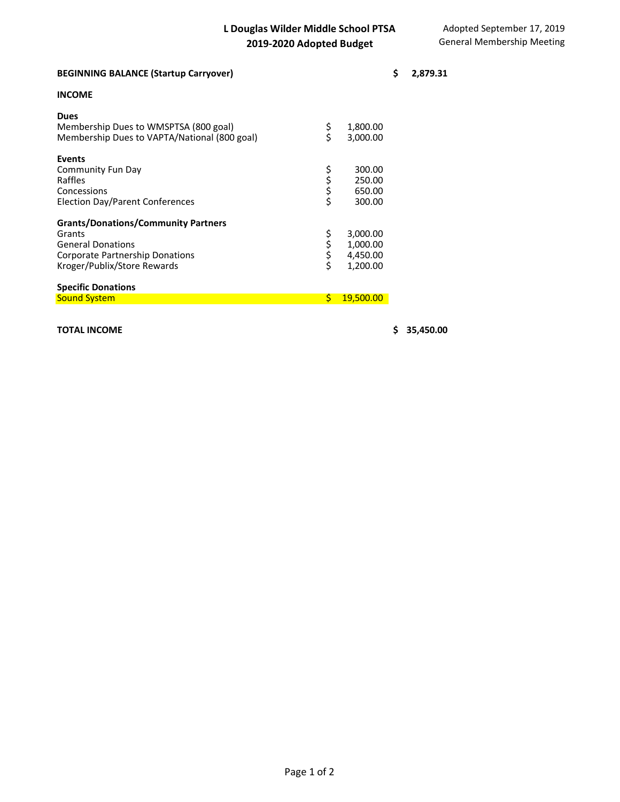| <b>BEGINNING BALANCE (Startup Carryover)</b>                                                                                                              |          |                                              | \$<br>2,879.31 |
|-----------------------------------------------------------------------------------------------------------------------------------------------------------|----------|----------------------------------------------|----------------|
| <b>INCOME</b>                                                                                                                                             |          |                                              |                |
| <b>Dues</b><br>Membership Dues to WMSPTSA (800 goal)<br>Membership Dues to VAPTA/National (800 goal)                                                      | \$<br>\$ | 1,800.00<br>3,000.00                         |                |
| <b>Events</b><br>Community Fun Day<br>Raffles<br>Concessions<br>Election Day/Parent Conferences                                                           | やみやく     | 300.00<br>250.00<br>650.00<br>300.00         |                |
| <b>Grants/Donations/Community Partners</b><br>Grants<br><b>General Donations</b><br><b>Corporate Partnership Donations</b><br>Kroger/Publix/Store Rewards | さらさ      | 3,000.00<br>1,000.00<br>4,450.00<br>1,200.00 |                |
| <b>Specific Donations</b><br><b>Sound System</b>                                                                                                          | \$       | 19,500.00                                    |                |

## **TOTAL INCOME \$ 35,450.00**